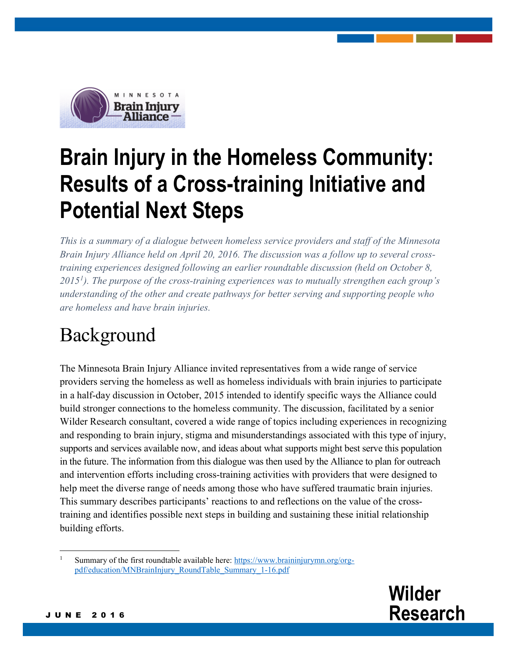

# **Brain Injury in the Homeless Community: Results of a Cross-training Initiative and Potential Next Steps**

*This is a summary of a dialogue between homeless service providers and staff of the Minnesota Brain Injury Alliance held on April 20, 2016. The discussion was a follow up to several crosstraining experiences designed following an earlier roundtable discussion (held on October 8, 2015[1](#page-0-0) ). The purpose of the cross-training experiences was to mutually strengthen each group's understanding of the other and create pathways for better serving and supporting people who are homeless and have brain injuries.* 

#### Background

The Minnesota Brain Injury Alliance invited representatives from a wide range of service providers serving the homeless as well as homeless individuals with brain injuries to participate in a half-day discussion in October, 2015 intended to identify specific ways the Alliance could build stronger connections to the homeless community. The discussion, facilitated by a senior Wilder Research consultant, covered a wide range of topics including experiences in recognizing and responding to brain injury, stigma and misunderstandings associated with this type of injury, supports and services available now, and ideas about what supports might best serve this population in the future. The information from this dialogue was then used by the Alliance to plan for outreach and intervention efforts including cross-training activities with providers that were designed to help meet the diverse range of needs among those who have suffered traumatic brain injuries. This summary describes participants' reactions to and reflections on the value of the crosstraining and identifies possible next steps in building and sustaining these initial relationship building efforts.

<span id="page-0-0"></span><sup>1</sup> Summary of the first roundtable available here: [https://www.braininjurymn.org/org](https://www.braininjurymn.org/org-pdf/education/MNBrainInjury_RoundTable_Summary_1-16.pdf)[pdf/education/MNBrainInjury\\_RoundTable\\_Summary\\_1-16.pdf](https://www.braininjurymn.org/org-pdf/education/MNBrainInjury_RoundTable_Summary_1-16.pdf)



JUNE 2016

 $\overline{\phantom{a}}$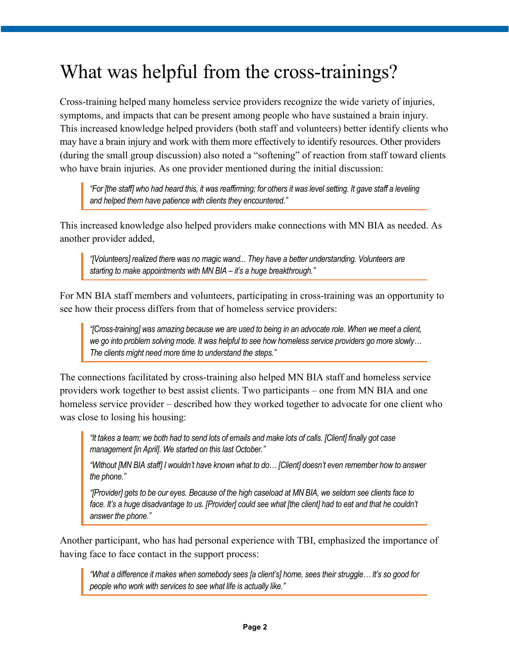## What was helpful from the cross-trainings?

Cross-training helped many homeless service providers recognize the wide variety of injuries, symptoms, and impacts that can be present among people who have sustained a brain injury. This increased knowledge helped providers (both staff and volunteers) better identify clients who may have a brain injury and work with them more effectively to identify resources. Other providers (during the small group discussion) also noted a "softening" of reaction from staff toward clients who have brain injuries. As one provider mentioned during the initial discussion:

*"For [the staff] who had heard this, it was reaffirming; for others it was level setting. It gave staff a leveling and helped them have patience with clients they encountered."*

This increased knowledge also helped providers make connections with MN BIA as needed. As another provider added,

*"[Volunteers] realized there was no magic wand... They have a better understanding. Volunteers are starting to make appointments with MN BIA – it's a huge breakthrough."* 

For MN BIA staff members and volunteers, participating in cross-training was an opportunity to see how their process differs from that of homeless service providers:

*"[Cross-training] was amazing because we are used to being in an advocate role. When we meet a client, we go into problem solving mode. It was helpful to see how homeless service providers go more slowly… The clients might need more time to understand the steps."*

The connections facilitated by cross-training also helped MN BIA staff and homeless service providers work together to best assist clients. Two participants – one from MN BIA and one homeless service provider – described how they worked together to advocate for one client who was close to losing his housing:

*"It takes a team; we both had to send lots of emails and make lots of calls. [Client] finally got case management [in April]. We started on this last October."*

*"Without [MN BIA staff] I wouldn't have known what to do… [Client] doesn't even remember how to answer the phone."*

*"[Provider] gets to be our eyes. Because of the high caseload at MN BIA, we seldom see clients face to face. It's a huge disadvantage to us. [Provider] could see what [the client] had to eat and that he couldn't answer the phone."*

Another participant, who has had personal experience with TBI, emphasized the importance of having face to face contact in the support process:

*"What a difference it makes when somebody sees [a client's] home, sees their struggle… It's so good for people who work with services to see what life is actually like."*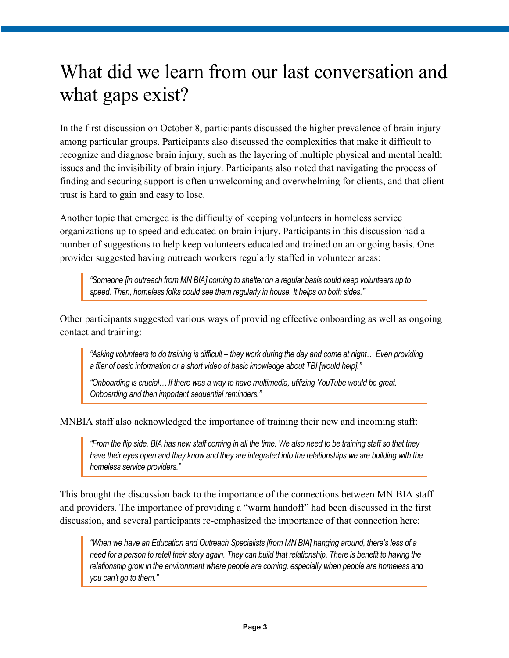## What did we learn from our last conversation and what gaps exist?

In the first discussion on October 8, participants discussed the higher prevalence of brain injury among particular groups. Participants also discussed the complexities that make it difficult to recognize and diagnose brain injury, such as the layering of multiple physical and mental health issues and the invisibility of brain injury. Participants also noted that navigating the process of finding and securing support is often unwelcoming and overwhelming for clients, and that client trust is hard to gain and easy to lose.

Another topic that emerged is the difficulty of keeping volunteers in homeless service organizations up to speed and educated on brain injury. Participants in this discussion had a number of suggestions to help keep volunteers educated and trained on an ongoing basis. One provider suggested having outreach workers regularly staffed in volunteer areas:

*"Someone [in outreach from MN BIA] coming to shelter on a regular basis could keep volunteers up to speed. Then, homeless folks could see them regularly in house. It helps on both sides."*

Other participants suggested various ways of providing effective onboarding as well as ongoing contact and training:

*"Asking volunteers to do training is difficult – they work during the day and come at night… Even providing a flier of basic information or a short video of basic knowledge about TBI [would help]."*

*"Onboarding is crucial… If there was a way to have multimedia, utilizing YouTube would be great. Onboarding and then important sequential reminders."*

MNBIA staff also acknowledged the importance of training their new and incoming staff:

*"From the flip side, BIA has new staff coming in all the time. We also need to be training staff so that they have their eyes open and they know and they are integrated into the relationships we are building with the homeless service providers."*

This brought the discussion back to the importance of the connections between MN BIA staff and providers. The importance of providing a "warm handoff" had been discussed in the first discussion, and several participants re-emphasized the importance of that connection here:

*"When we have an Education and Outreach Specialists [from MN BIA] hanging around, there's less of a need for a person to retell their story again. They can build that relationship. There is benefit to having the relationship grow in the environment where people are coming, especially when people are homeless and you can't go to them."*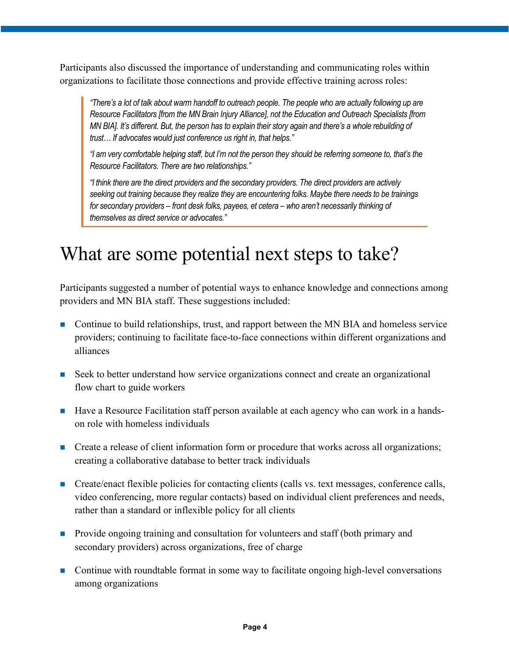Participants also discussed the importance of understanding and communicating roles within organizations to facilitate those connections and provide effective training across roles:

*"There's a lot of talk about warm handoff to outreach people. The people who are actually following up are Resource Facilitators [from the MN Brain Injury Alliance], not the Education and Outreach Specialists [from MN BIA]. It's different. But, the person has to explain their story again and there's a whole rebuilding of trust… If advocates would just conference us right in, that helps."*

*"I am very comfortable helping staff, but I'm not the person they should be referring someone to, that's the Resource Facilitators. There are two relationships."*

*"I think there are the direct providers and the secondary providers. The direct providers are actively seeking out training because they realize they are encountering folks. Maybe there needs to be trainings for secondary providers – front desk folks, payees, et cetera – who aren't necessarily thinking of themselves as direct service or advocates."*

#### What are some potential next steps to take?

Participants suggested a number of potential ways to enhance knowledge and connections among providers and MN BIA staff. These suggestions included:

- Continue to build relationships, trust, and rapport between the MN BIA and homeless service providers; continuing to facilitate face-to-face connections within different organizations and alliances
- Seek to better understand how service organizations connect and create an organizational flow chart to guide workers
- Have a Resource Facilitation staff person available at each agency who can work in a handson role with homeless individuals
- **Create a release of client information form or procedure that works across all organizations;** creating a collaborative database to better track individuals
- Create/enact flexible policies for contacting clients (calls vs. text messages, conference calls, video conferencing, more regular contacts) based on individual client preferences and needs, rather than a standard or inflexible policy for all clients
- **Provide ongoing training and consultation for volunteers and staff (both primary and** secondary providers) across organizations, free of charge
- **Continue with roundtable format in some way to facilitate ongoing high-level conversations** among organizations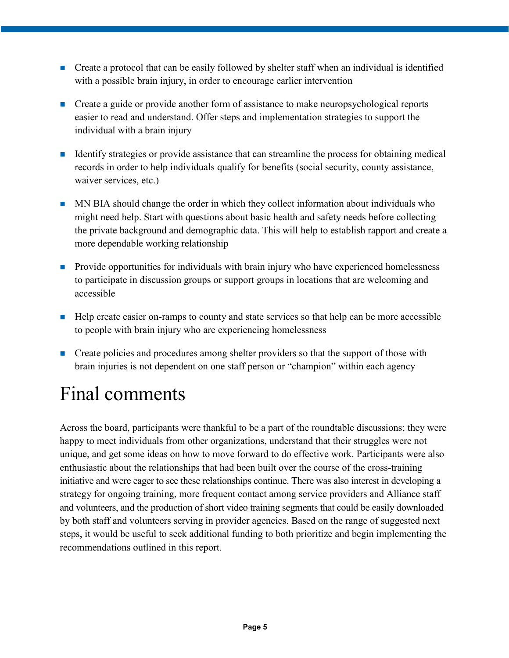- **Create a protocol that can be easily followed by shelter staff when an individual is identified** with a possible brain injury, in order to encourage earlier intervention
- **Create a guide or provide another form of assistance to make neuropsychological reports** easier to read and understand. Offer steps and implementation strategies to support the individual with a brain injury
- If Identify strategies or provide assistance that can streamline the process for obtaining medical records in order to help individuals qualify for benefits (social security, county assistance, waiver services, etc.)
- MN BIA should change the order in which they collect information about individuals who might need help. Start with questions about basic health and safety needs before collecting the private background and demographic data. This will help to establish rapport and create a more dependable working relationship
- **Provide opportunities for individuals with brain injury who have experienced homelessness** to participate in discussion groups or support groups in locations that are welcoming and accessible
- Help create easier on-ramps to county and state services so that help can be more accessible to people with brain injury who are experiencing homelessness
- **Create policies and procedures among shelter providers so that the support of those with** brain injuries is not dependent on one staff person or "champion" within each agency

## Final comments

Across the board, participants were thankful to be a part of the roundtable discussions; they were happy to meet individuals from other organizations, understand that their struggles were not unique, and get some ideas on how to move forward to do effective work. Participants were also enthusiastic about the relationships that had been built over the course of the cross-training initiative and were eager to see these relationships continue. There was also interest in developing a strategy for ongoing training, more frequent contact among service providers and Alliance staff and volunteers, and the production of short video training segments that could be easily downloaded by both staff and volunteers serving in provider agencies. Based on the range of suggested next steps, it would be useful to seek additional funding to both prioritize and begin implementing the recommendations outlined in this report.